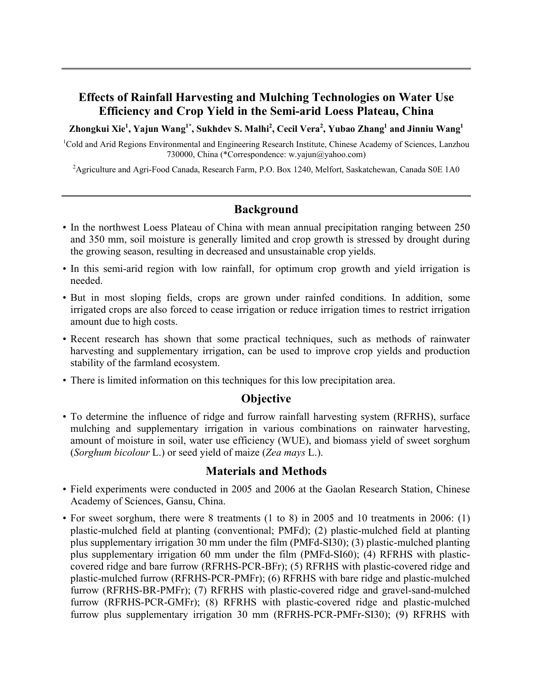# **Effects of Rainfall Harvesting and Mulching Technologies on Water Use Efficiency and Crop Yield in the Semi-arid Loess Plateau, China**

Zhongkui Xie<sup>1</sup>, Yajun Wang<sup>1\*</sup>, Sukhdev S. Malhi<sup>2</sup>, Cecil Vera<sup>2</sup>, Yubao Zhang<sup>1</sup> and Jinniu Wang<sup>1</sup>

<sup>1</sup>Cold and Arid Regions Environmental and Engineering Research Institute, Chinese Academy of Sciences, Lanzhou 730000, China (\*Correspondence: w.yajun@yahoo.com)

<sup>2</sup> Agriculture and Agri-Food Canada, Research Farm, P.O. Box 1240, Melfort, Saskatchewan, Canada S0E 1A0

# **Background**

- In the northwest Loess Plateau of China with mean annual precipitation ranging between 250 and 350 mm, soil moisture is generally limited and crop growth is stressed by drought during the growing season, resulting in decreased and unsustainable crop yields.
- In this semi-arid region with low rainfall, for optimum crop growth and yield irrigation is needed.
- But in most sloping fields, crops are grown under rainfed conditions. In addition, some irrigated crops are also forced to cease irrigation or reduce irrigation times to restrict irrigation amount due to high costs.
- Recent research has shown that some practical techniques, such as methods of rainwater harvesting and supplementary irrigation, can be used to improve crop yields and production stability of the farmland ecosystem.
- There is limited information on this techniques for this low precipitation area.

#### **Objective**

• To determine the influence of ridge and furrow rainfall harvesting system (RFRHS), surface mulching and supplementary irrigation in various combinations on rainwater harvesting, amount of moisture in soil, water use efficiency (WUE), and biomass yield of sweet sorghum (*Sorghum bicolour* L.) or seed yield of maize (*Zea mays* L.).

#### **Materials and Methods**

- Field experiments were conducted in 2005 and 2006 at the Gaolan Research Station, Chinese Academy of Sciences, Gansu, China.
- For sweet sorghum, there were 8 treatments (1 to 8) in 2005 and 10 treatments in 2006: (1) plastic-mulched field at planting (conventional; PMFd); (2) plastic-mulched field at planting plus supplementary irrigation 30 mm under the film (PMFd-SI30); (3) plastic-mulched planting plus supplementary irrigation 60 mm under the film (PMFd-SI60); (4) RFRHS with plasticcovered ridge and bare furrow (RFRHS-PCR-BFr); (5) RFRHS with plastic-covered ridge and plastic-mulched furrow (RFRHS-PCR-PMFr); (6) RFRHS with bare ridge and plastic-mulched furrow (RFRHS-BR-PMFr); (7) RFRHS with plastic-covered ridge and gravel-sand-mulched furrow (RFRHS-PCR-GMFr); (8) RFRHS with plastic-covered ridge and plastic-mulched furrow plus supplementary irrigation 30 mm (RFRHS-PCR-PMFr-SI30); (9) RFRHS with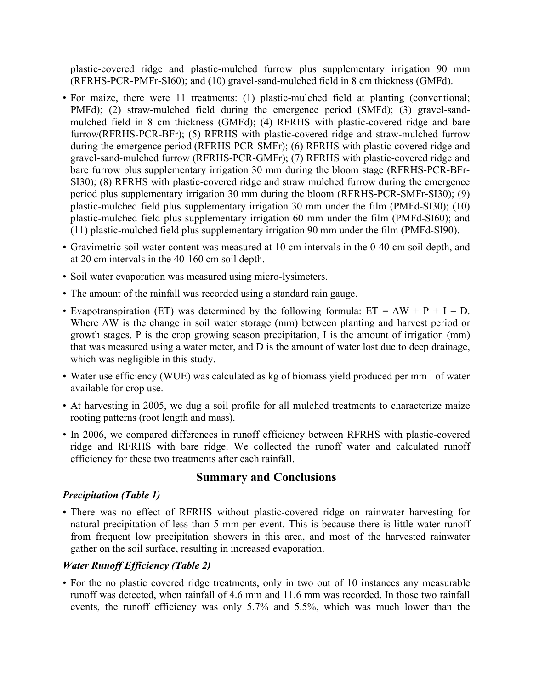plastic-covered ridge and plastic-mulched furrow plus supplementary irrigation 90 mm (RFRHS-PCR-PMFr-SI60); and (10) gravel-sand-mulched field in 8 cm thickness (GMFd).

- For maize, there were 11 treatments: (1) plastic-mulched field at planting (conventional; PMFd); (2) straw-mulched field during the emergence period (SMFd); (3) gravel-sandmulched field in 8 cm thickness (GMFd); (4) RFRHS with plastic-covered ridge and bare furrow(RFRHS-PCR-BFr); (5) RFRHS with plastic-covered ridge and straw-mulched furrow during the emergence period (RFRHS-PCR-SMFr); (6) RFRHS with plastic-covered ridge and gravel-sand-mulched furrow (RFRHS-PCR-GMFr); (7) RFRHS with plastic-covered ridge and bare furrow plus supplementary irrigation 30 mm during the bloom stage (RFRHS-PCR-BFr-SI30); (8) RFRHS with plastic-covered ridge and straw mulched furrow during the emergence period plus supplementary irrigation 30 mm during the bloom (RFRHS-PCR-SMFr-SI30); (9) plastic-mulched field plus supplementary irrigation 30 mm under the film (PMFd-SI30); (10) plastic-mulched field plus supplementary irrigation 60 mm under the film (PMFd-SI60); and (11) plastic-mulched field plus supplementary irrigation 90 mm under the film (PMFd-SI90).
- Gravimetric soil water content was measured at 10 cm intervals in the 0-40 cm soil depth, and at 20 cm intervals in the 40-160 cm soil depth.
- Soil water evaporation was measured using micro-lysimeters.
- The amount of the rainfall was recorded using a standard rain gauge.
- Evapotranspiration (ET) was determined by the following formula:  $ET = \Delta W + P + I D$ . Where ΔW is the change in soil water storage (mm) between planting and harvest period or growth stages, P is the crop growing season precipitation, I is the amount of irrigation (mm) that was measured using a water meter, and D is the amount of water lost due to deep drainage, which was negligible in this study.
- Water use efficiency (WUE) was calculated as kg of biomass yield produced per mm<sup>-1</sup> of water available for crop use.
- At harvesting in 2005, we dug a soil profile for all mulched treatments to characterize maize rooting patterns (root length and mass).
- In 2006, we compared differences in runoff efficiency between RFRHS with plastic-covered ridge and RFRHS with bare ridge. We collected the runoff water and calculated runoff efficiency for these two treatments after each rainfall.

#### **Summary and Conclusions**

#### *Precipitation (Table 1)*

• There was no effect of RFRHS without plastic-covered ridge on rainwater harvesting for natural precipitation of less than 5 mm per event. This is because there is little water runoff from frequent low precipitation showers in this area, and most of the harvested rainwater gather on the soil surface, resulting in increased evaporation.

#### *Water Runoff Efficiency (Table 2)*

• For the no plastic covered ridge treatments, only in two out of 10 instances any measurable runoff was detected, when rainfall of 4.6 mm and 11.6 mm was recorded. In those two rainfall events, the runoff efficiency was only 5.7% and 5.5%, which was much lower than the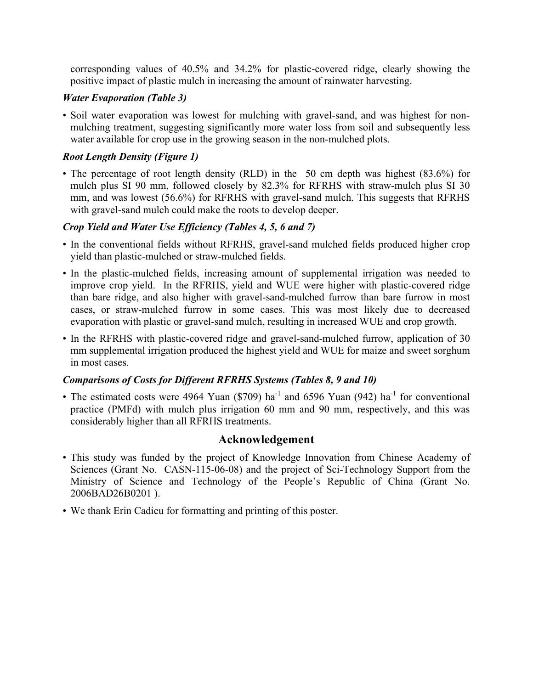corresponding values of 40.5% and 34.2% for plastic-covered ridge, clearly showing the positive impact of plastic mulch in increasing the amount of rainwater harvesting.

#### *Water Evaporation (Table 3)*

• Soil water evaporation was lowest for mulching with gravel-sand, and was highest for nonmulching treatment, suggesting significantly more water loss from soil and subsequently less water available for crop use in the growing season in the non-mulched plots.

## *Root Length Density (Figure 1)*

• The percentage of root length density (RLD) in the 50 cm depth was highest (83.6%) for mulch plus SI 90 mm, followed closely by 82.3% for RFRHS with straw-mulch plus SI 30 mm, and was lowest (56.6%) for RFRHS with gravel-sand mulch. This suggests that RFRHS with gravel-sand mulch could make the roots to develop deeper.

### *Crop Yield and Water Use Efficiency (Tables 4, 5, 6 and 7)*

- In the conventional fields without RFRHS, gravel-sand mulched fields produced higher crop yield than plastic-mulched or straw-mulched fields.
- In the plastic-mulched fields, increasing amount of supplemental irrigation was needed to improve crop yield. In the RFRHS, yield and WUE were higher with plastic-covered ridge than bare ridge, and also higher with gravel-sand-mulched furrow than bare furrow in most cases, or straw-mulched furrow in some cases. This was most likely due to decreased evaporation with plastic or gravel-sand mulch, resulting in increased WUE and crop growth.
- In the RFRHS with plastic-covered ridge and gravel-sand-mulched furrow, application of 30 mm supplemental irrigation produced the highest yield and WUE for maize and sweet sorghum in most cases.

#### *Comparisons of Costs for Different RFRHS Systems (Tables 8, 9 and 10)*

• The estimated costs were 4964 Yuan (\$709) ha<sup>-1</sup> and 6596 Yuan (942) ha<sup>-1</sup> for conventional practice (PMFd) with mulch plus irrigation 60 mm and 90 mm, respectively, and this was considerably higher than all RFRHS treatments.

# **Acknowledgement**

- This study was funded by the project of Knowledge Innovation from Chinese Academy of Sciences (Grant No. CASN-115-06-08) and the project of Sci-Technology Support from the Ministry of Science and Technology of the People's Republic of China (Grant No. 2006BAD26B0201 ).
- We thank Erin Cadieu for formatting and printing of this poster.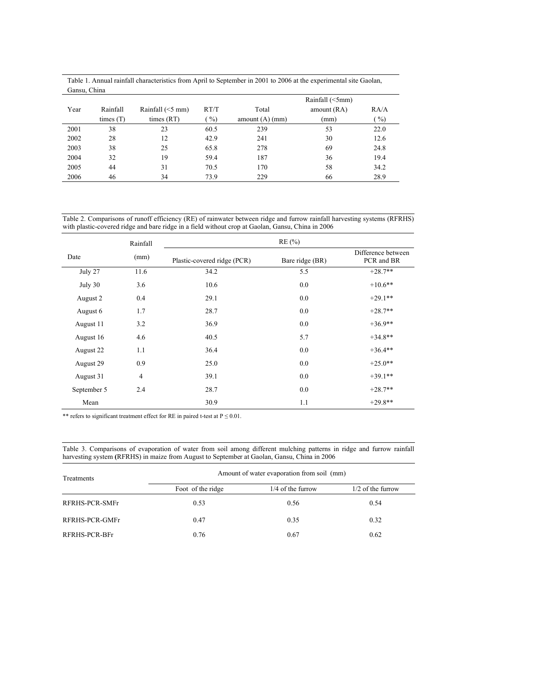| Gansu, China |             |                    |      |                   |                 |               |
|--------------|-------------|--------------------|------|-------------------|-----------------|---------------|
|              |             |                    |      |                   | Rainfall (<5mm) |               |
| Year         | Rainfall    | Rainfall $(<5$ mm) | RT/T | Total             | amount (RA)     | RA/A          |
|              | times $(T)$ | times $(RT)$       | $\%$ | amount $(A)$ (mm) | (mm)            | $\frac{9}{0}$ |
| 2001         | 38          | 23                 | 60.5 | 239               | 53              | 22.0          |
| 2002         | 28          | 12                 | 42.9 | 241               | 30              | 12.6          |
| 2003         | 38          | 25                 | 65.8 | 278               | 69              | 24.8          |
| 2004         | 32          | 19                 | 59.4 | 187               | 36              | 19.4          |
| 2005         | 44          | 31                 | 70.5 | 170               | 58              | 34.2          |
| 2006         | 46          | 34                 | 73.9 | 229               | 66              | 28.9          |

Table 1. Annual rainfall characteristics from April to September in 2001 to 2006 at the experimental site Gaolan, Gancu, Chin

Table 2. Comparisons of runoff efficiency (RE) of rainwater between ridge and furrow rainfall harvesting systems (RFRHS) with plastic-covered ridge and bare ridge in a field without crop at Gaolan, Gansu, China in 2006

|             | Rainfall       |                             | RE(%)           |                                  |  |  |  |
|-------------|----------------|-----------------------------|-----------------|----------------------------------|--|--|--|
| Date        | (mm)           | Plastic-covered ridge (PCR) | Bare ridge (BR) | Difference between<br>PCR and BR |  |  |  |
| July 27     | 11.6           | 34.2                        | 5.5             | $+28.7**$                        |  |  |  |
| July 30     | 3.6            | 10.6                        | 0.0             | $+10.6$ **                       |  |  |  |
| August 2    | 0.4            | 29.1                        | 0.0             | $+29.1**$                        |  |  |  |
| August 6    | 1.7            | 28.7                        | 0.0             | $+28.7**$                        |  |  |  |
| August 11   | 3.2            | 36.9                        | 0.0             | $+36.9**$                        |  |  |  |
| August 16   | 4.6            | 40.5                        | 5.7             | $+34.8**$                        |  |  |  |
| August 22   | 1.1            | 36.4                        | 0.0             | $+36.4**$                        |  |  |  |
| August 29   | 0.9            | 25.0                        | 0.0             | $+25.0**$                        |  |  |  |
| August 31   | $\overline{4}$ | 39.1                        | 0.0             | $+39.1**$                        |  |  |  |
| September 5 | 2.4            | 28.7                        | 0.0             | $+28.7**$                        |  |  |  |
| Mean        |                | 30.9                        | 1.1             | $+29.8**$                        |  |  |  |

\*\* refers to significant treatment effect for RE in paired t-test at  $P \le 0.01$ .

Table 3. Comparisons of evaporation of water from soil among different mulching patterns in ridge and furrow rainfall harvesting system **(**RFRHS) in maize from August to September at Gaolan, Gansu, China in 2006

| Treatments     | Amount of water evaporation from soil (mm) |                     |                     |
|----------------|--------------------------------------------|---------------------|---------------------|
|                | Foot of the ridge                          | $1/4$ of the furrow | $1/2$ of the furrow |
| RFRHS-PCR-SMFr | 0.53                                       | 0.56                | 0.54                |
| RFRHS-PCR-GMFr | 0.47                                       | 0.35                | 0.32                |
| RFRHS-PCR-BFr  | 0.76                                       | 0.67                | 0.62                |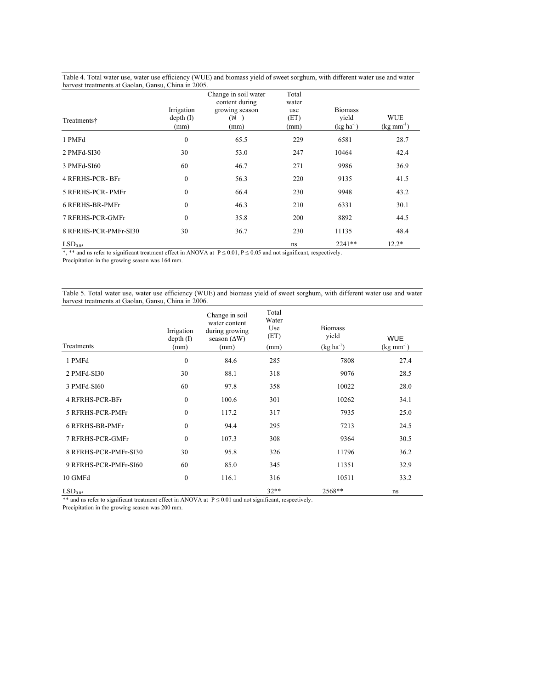| Table 4. Total water use, water use efficiency (WUE) and biomass yield of sweet sorghum, with different water use and water<br>harvest treatments at Gaolan, Gansu, China in 2005. |            |                                        |                |                |                        |  |
|------------------------------------------------------------------------------------------------------------------------------------------------------------------------------------|------------|----------------------------------------|----------------|----------------|------------------------|--|
|                                                                                                                                                                                    |            | Change in soil water<br>content during | Total<br>water |                |                        |  |
|                                                                                                                                                                                    | Irrigation | growing season                         | use            | <b>Biomass</b> |                        |  |
| Treatments†                                                                                                                                                                        | depth (I)  | (W                                     | (ET)           | vield          | <b>WUE</b>             |  |
|                                                                                                                                                                                    | (mm)       | (mm)                                   | (mm)           | $(kg ha^{-1})$ | $(kg \text{ mm}^{-1})$ |  |

1 PMFd 28.7 2 PMFd-SI30 30 53.0 247 10464 42.4 3 PMFd-SI60 60 46.7 271 9986 36.9 4 RFRHS-PCR- BFr 0 56.3 220 9135 41.5

5 RFRHS-PCR- PMFr 0 66.4 230 9948 43.2 6 RFRHS-BR-PMFr 0 46.3 210 6331 30.1 7 RFRHS-PCR-GMFr 0 35.8 200 8892 44.5 8 RFRHS-PCR-PMFr-SI30 30 36.7 230 11135 48.4  $\text{LSD}_{0.05}$  ns 2241\*\* 12.2\*

\*, \*\* and ns refer to significant treatment effect in ANOVA at  $P \le 0.01$ ,  $P \le 0.05$  and not significant, respectively.

Precipitation in the growing season was 164 mm.

Table 5. Total water use, water use efficiency (WUE) and biomass yield of sweet sorghum, with different water use and water harvest treatments at Gaolan, Gansu, China in 2006.

| Treatments             | Irrigation<br>depth(I)<br>(mm) | Change in soil<br>water content<br>during growing<br>season $(\Delta W)$<br>(mm) | Total<br>Water<br>Use<br>(ET)<br>(mm) | <b>Biomass</b><br>yield<br>$(kg ha^{-1})$ | <b>WUE</b><br>$(kg \text{ mm}^{-1})$ |
|------------------------|--------------------------------|----------------------------------------------------------------------------------|---------------------------------------|-------------------------------------------|--------------------------------------|
| 1 PMFd                 | $\theta$                       | 84.6                                                                             | 285                                   | 7808                                      | 27.4                                 |
| 2 PMFd-SI30            | 30                             | 88.1                                                                             | 318                                   | 9076                                      | 28.5                                 |
| 3 PMFd-SI60            | 60                             | 97.8                                                                             | 358                                   | 10022                                     | 28.0                                 |
| <b>4 RFRHS-PCR-BFr</b> | $\mathbf{0}$                   | 100.6                                                                            | 301                                   | 10262                                     | 34.1                                 |
| 5 RFRHS-PCR-PMFr       | $\mathbf{0}$                   | 117.2                                                                            | 317                                   | 7935                                      | 25.0                                 |
| 6 RFRHS-BR-PMFr        | $\mathbf{0}$                   | 94.4                                                                             | 295                                   | 7213                                      | 24.5                                 |
| 7 RFRHS-PCR-GMFr       | $\theta$                       | 107.3                                                                            | 308                                   | 9364                                      | 30.5                                 |
| 8 RFRHS-PCR-PMFr-SI30  | 30                             | 95.8                                                                             | 326                                   | 11796                                     | 36.2                                 |
| 9 RFRHS-PCR-PMFr-SI60  | 60                             | 85.0                                                                             | 345                                   | 11351                                     | 32.9                                 |
| 10 GMFd                | $\mathbf{0}$                   | 116.1                                                                            | 316                                   | 10511                                     | 33.2                                 |
| LSD <sub>0.05</sub>    |                                |                                                                                  | $32**$                                | 2568**                                    | ns                                   |

\*\* and ns refer to significant treatment effect in ANOVA at  $P \le 0.01$  and not significant, respectively.

Precipitation in the growing season was 200 mm.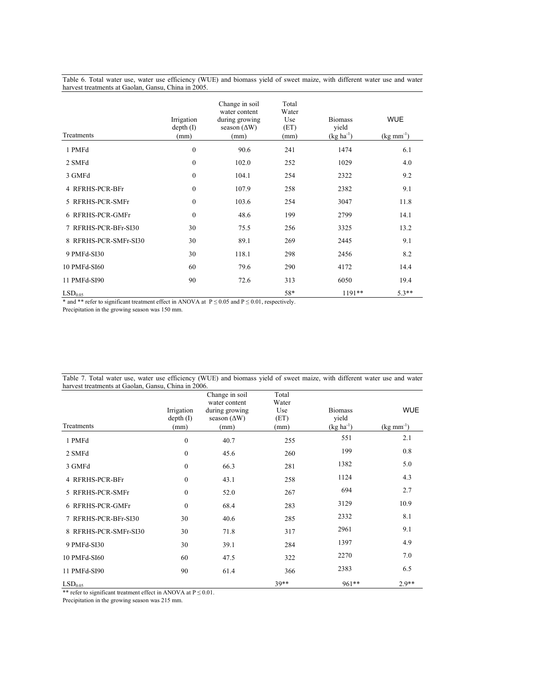Table 6. Total water use, water use efficiency (WUE) and biomass yield of sweet maize, with different water use and water harvest treatments at Gaolan, Gansu, China in 2005.

| Treatments            | Irrigation<br>depth (I)<br>(mm) | Change in soil<br>water content<br>during growing<br>season $(\Delta W)$<br>(mm) | Total<br>Water<br>Use<br>(ET)<br>(mm) | <b>Biomass</b><br>yield<br>$(kg ha^{-1})$ | <b>WUE</b><br>$(kg \text{ mm}^{-1})$ |
|-----------------------|---------------------------------|----------------------------------------------------------------------------------|---------------------------------------|-------------------------------------------|--------------------------------------|
| 1 PMFd                | $\boldsymbol{0}$                | 90.6                                                                             | 241                                   | 1474                                      | 6.1                                  |
| 2 SMFd                | $\mathbf{0}$                    | 102.0                                                                            | 252                                   | 1029                                      | 4.0                                  |
| 3 GMFd                | $\mathbf{0}$                    | 104.1                                                                            | 254                                   | 2322                                      | 9.2                                  |
| 4 RFRHS-PCR-BFr       | $\mathbf{0}$                    | 107.9                                                                            | 258                                   | 2382                                      | 9.1                                  |
| 5 RFRHS-PCR-SMFr      | $\theta$                        | 103.6                                                                            | 254                                   | 3047                                      | 11.8                                 |
| 6 RFRHS-PCR-GMFr      | $\mathbf{0}$                    | 48.6                                                                             | 199                                   | 2799                                      | 14.1                                 |
| 7 RFRHS-PCR-BFr-SI30  | 30                              | 75.5                                                                             | 256                                   | 3325                                      | 13.2                                 |
| 8 RFRHS-PCR-SMFr-SI30 | 30                              | 89.1                                                                             | 269                                   | 2445                                      | 9.1                                  |
| 9 PMFd-SI30           | 30                              | 118.1                                                                            | 298                                   | 2456                                      | 8.2                                  |
| 10 PMFd-SI60          | 60                              | 79.6                                                                             | 290                                   | 4172                                      | 14.4                                 |
| 11 PMFd-SI90          | 90                              | 72.6                                                                             | 313                                   | 6050                                      | 19.4                                 |
| LSD <sub>0.05</sub>   |                                 |                                                                                  | 58*                                   | 1191**                                    | $5.3**$                              |

\* and \*\* refer to significant treatment effect in ANOVA at  $P \le 0.05$  and  $P \le 0.01$ , respectively.

Precipitation in the growing season was 150 mm.

| harvest treatments at Gaolan, Gansu, China in 2006. |                                 |                                                                                  |                                       |                                           |                                      |
|-----------------------------------------------------|---------------------------------|----------------------------------------------------------------------------------|---------------------------------------|-------------------------------------------|--------------------------------------|
| Treatments                                          | Irrigation<br>depth (I)<br>(mm) | Change in soil<br>water content<br>during growing<br>season $(\Delta W)$<br>(mm) | Total<br>Water<br>Use<br>(ET)<br>(mm) | <b>Biomass</b><br>vield<br>$(kg ha^{-1})$ | <b>WUE</b><br>$(kg \text{ mm}^{-1})$ |
| 1 PMFd                                              | $\mathbf{0}$                    | 40.7                                                                             | 255                                   | 551                                       | 2.1                                  |
| 2 SMFd                                              | $\mathbf{0}$                    | 45.6                                                                             | 260                                   | 199                                       | 0.8                                  |
| 3 GMFd                                              | $\mathbf{0}$                    | 66.3                                                                             | 281                                   | 1382                                      | 5.0                                  |
| 4 RFRHS-PCR-BFr                                     | $\theta$                        | 43.1                                                                             | 258                                   | 1124                                      | 4.3                                  |
| 5 RFRHS-PCR-SMFr                                    | $\mathbf{0}$                    | 52.0                                                                             | 267                                   | 694                                       | 2.7                                  |
| 6 RFRHS-PCR-GMFr                                    | $\theta$                        | 68.4                                                                             | 283                                   | 3129                                      | 10.9                                 |
| 7 RFRHS-PCR-BFr-SI30                                | 30                              | 40.6                                                                             | 285                                   | 2332                                      | 8.1                                  |
| 8 RFRHS-PCR-SMFr-SI30                               | 30                              | 71.8                                                                             | 317                                   | 2961                                      | 9.1                                  |
| 9 PMFd-SI30                                         | 30                              | 39.1                                                                             | 284                                   | 1397                                      | 4.9                                  |
| 10 PMFd-SI60                                        | 60                              | 47.5                                                                             | 322                                   | 2270                                      | 7.0                                  |
| 11 PMFd-SI90                                        | 90                              | 61.4                                                                             | 366                                   | 2383                                      | 6.5                                  |
| LSD <sub>0.05</sub>                                 |                                 |                                                                                  | 39**                                  | 961**                                     | $2.9**$                              |

Table 7. Total water use, water use efficiency (WUE) and biomass yield of sweet maize, with different water use and water harvest treatments at Gaolan, Gansu, China in 2006.

\*\* refer to significant treatment effect in ANOVA at P ≤ 0.01.

Precipitation in the growing season was 215 mm.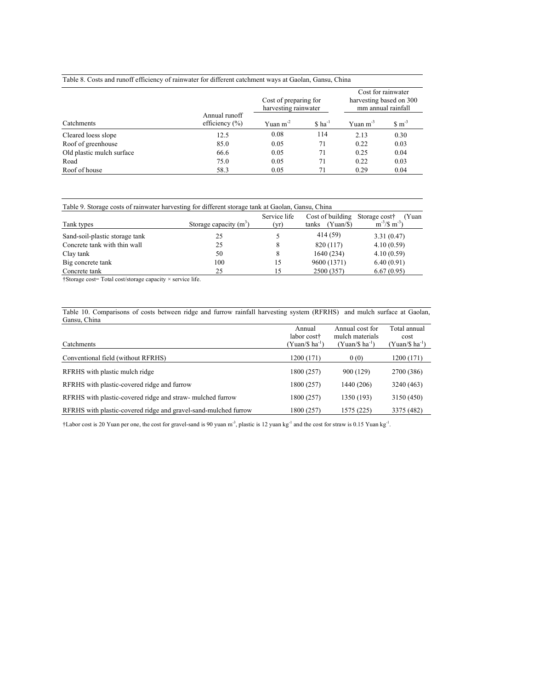| Table 8. Costs and runoff efficiency of rainwater for different catchment ways at Gaolan, Gansu, China |  |
|--------------------------------------------------------------------------------------------------------|--|
|                                                                                                        |  |

|                           |                                     | Cost of preparing for<br>harvesting rainwater |                      | Cost for rainwater<br>harvesting based on 300<br>mm annual rainfall |                           |
|---------------------------|-------------------------------------|-----------------------------------------------|----------------------|---------------------------------------------------------------------|---------------------------|
| Catchments                | Annual runoff<br>efficiency $(\% )$ | Yuan $m-2$                                    | $$$ ha <sup>-1</sup> | Yuan $m-3$                                                          | $\text{S} \text{ m}^{-3}$ |
| Cleared loess slope       | 12.5                                | 0.08                                          | 114                  | 2.13                                                                | 0.30                      |
| Roof of greenhouse        | 85.0                                | 0.05                                          | 71                   | 0.22                                                                | 0.03                      |
| Old plastic mulch surface | 66.6                                | 0.05                                          | 71                   | 0.25                                                                | 0.04                      |
| Road                      | 75.0                                | 0.05                                          | 71                   | 0.22                                                                | 0.03                      |
| Roof of house             | 58.3                                | 0.05                                          | 71                   | 0.29                                                                | 0.04                      |

| Table 9. Storage costs of rainwater harvesting for different storage tank at Gaolan, Gansu, China |                          |                      |                                       |                                                              |  |  |
|---------------------------------------------------------------------------------------------------|--------------------------|----------------------|---------------------------------------|--------------------------------------------------------------|--|--|
| Tank types                                                                                        | Storage capacity $(m^3)$ | Service life<br>(yr) | Cost of building<br>(Yuan/S)<br>tanks | (Yuan<br>Storage cost <sup>†</sup><br>$\rm m^{-3}/\$~m^{-3}$ |  |  |
| Sand-soil-plastic storage tank                                                                    | 25                       |                      | 414 (59)                              | 3.31(0.47)                                                   |  |  |
| Concrete tank with thin wall                                                                      | 25                       | 8                    | 820 (117)                             | 4.10(0.59)                                                   |  |  |
| Clay tank                                                                                         | 50                       | 8                    | 1640 (234)                            | 4.10(0.59)                                                   |  |  |
| Big concrete tank                                                                                 | 100                      | 15                   | 9600 (1371)                           | 6.40(0.91)                                                   |  |  |
| Concrete tank                                                                                     | 25                       | 15                   | 2500 (357)                            | 6.67(0.95)                                                   |  |  |

†Storage cost= Total cost/storage capacity × service life.

Table 10. Comparisons of costs between ridge and furrow rainfall harvesting system (RFRHS) and mulch surface at Gaolan, Gansu, China

| Catchments                                                      | Annual<br>labor cost†<br>(Yuan/\$ ha <sup>-1</sup> ` | Annual cost for<br>mulch materials<br>$(Yuan/S ha^{-1})$ | Total annual<br>cost<br>(Yuan/\$ ha <sup>-1</sup> ) |
|-----------------------------------------------------------------|------------------------------------------------------|----------------------------------------------------------|-----------------------------------------------------|
| Conventional field (without RFRHS)                              | 1200 (171)                                           | 0(0)                                                     | 1200 (171)                                          |
| RFRHS with plastic mulch ridge                                  | 1800 (257)                                           | 900 (129)                                                | 2700 (386)                                          |
| RFRHS with plastic-covered ridge and furrow                     | 1800 (257)                                           | 1440 (206)                                               | 3240 (463)                                          |
| RFRHS with plastic-covered ridge and straw-mulched furrow       | 1800 (257)                                           | 1350 (193)                                               | 3150 (450)                                          |
| RFRHS with plastic-covered ridge and gravel-sand-mulched furrow | 1800 (257)                                           | 1575 (225)                                               | 3375 (482)                                          |

 $\dagger$ Labor cost is 20 Yuan per one, the cost for gravel-sand is 90 yuan m<sup>-3</sup>, plastic is 12 yuan kg<sup>-1</sup> and the cost for straw is 0.15 Yuan kg<sup>-1</sup>.